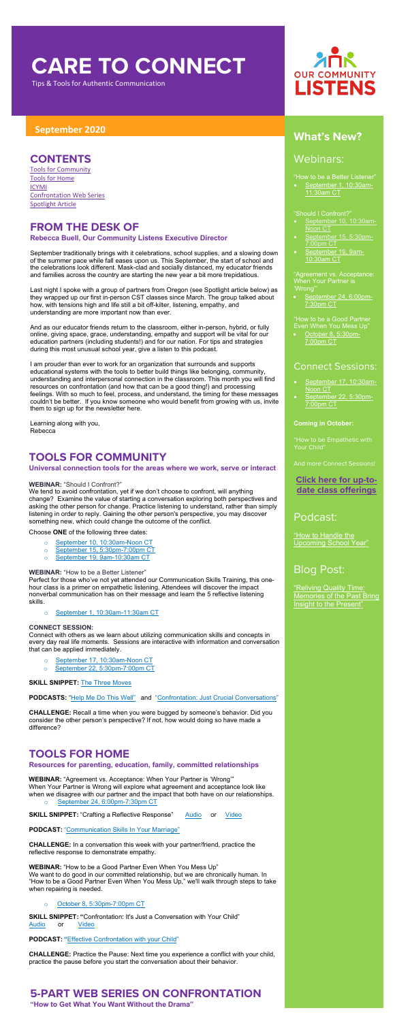# **CARE TO CONNECT**

Tips & Tools for Authentic Communication

## **September <sup>2020</sup> What's New?**

### Webinars:

"How to be a Better Listener"

- [September 10, 10:30am-](https://us02web.zoom.us/meeting/register/tZYqc-CprT0qHd3dtR5tWVDnm22udOm9sabN)[Noon](https://us02web.zoom.us/meeting/register/tZYqc-CprT0qHd3dtR5tWVDnm22udOm9sabN) CT
- [September 15, 5:30pm-](https://us02web.zoom.us/meeting/register/tZIucO-vqzkuH9LzhaXZ_1IBDk0KI4D4_z8B)[7:00pm CT](https://us02web.zoom.us/meeting/register/tZIucO-vqzkuH9LzhaXZ_1IBDk0KI4D4_z8B)
- [September 19, 9am-](https://us02web.zoom.us/meeting/register/tZAld-yhrTgoHNSb4Vy3hc61iCCKfLCJ5U83)[10:30am CT](https://us02web.zoom.us/meeting/register/tZAld-yhrTgoHNSb4Vy3hc61iCCKfLCJ5U83)

• [September 1, 10:30am-](https://us02web.zoom.us/meeting/register/tZckfuqqrTssE9CX15OYSbuMoaxc2Ll7H_78)[11:30am CT](https://us02web.zoom.us/meeting/register/tZckfuqqrTssE9CX15OYSbuMoaxc2Ll7H_78)

#### "Should I Confront?"

- [September 17, 10:30am-](https://us02web.zoom.us/meeting/register/tZEkf-Cvpj0oH9NC03KmIriiN4EAC5h4aE8g)[Noon CT](https://us02web.zoom.us/meeting/register/tZEkf-Cvpj0oH9NC03KmIriiN4EAC5h4aE8g)
- [September 22, 5:30pm-](https://us02web.zoom.us/meeting/register/tZEkf-Cvpj0oH9NC03KmIriiN4EAC5h4aE8g)[7:00pm CT](https://us02web.zoom.us/meeting/register/tZEkf-Cvpj0oH9NC03KmIriiN4EAC5h4aE8g)

"Agreement vs. Acceptance: When Your Partner is 'Wrong'"

• [September 24, 6:00pm-](https://attendee.gototraining.com/r/1578015094833106689)[7:30pm CT](https://attendee.gototraining.com/r/1578015094833106689)

"How to Handle the Upcoming [School Year"](https://soundcloud.com/ourcommunitylistens/epi-053)

"How to be a Good Partner Even When You Mess Up"

• [October 8, 5:30pm-](https://attendee.gototraining.com/r/6384112363190346241)[7:00pm CT](https://attendee.gototraining.com/r/6384112363190346241)

### Connect Sessions:

#### **Coming in October:**

Your Child"

And more Connect Sessions!

### **[Click here for up-to](http://www.ourcommunitylistens.org/events)[date class offerings](http://www.ourcommunitylistens.org/events)**

### Podcast:

### Blog Post:

"Reliving [Quality Time:](https://www.ourcommunitylistens.org/blog/post/ocl/2020/08/25/reliving-quality-time-memories-of-the-past-bring-insight-to-the-present?fbclid=IwAR1qBksj-wbHtHZZ_3i-1KpL5GIqCiY2qmPAnhvlQqSXdDfqAxEJxf-yuVE)  [Memories of the Past Bring](https://www.ourcommunitylistens.org/blog/post/ocl/2020/08/25/reliving-quality-time-memories-of-the-past-bring-insight-to-the-present?fbclid=IwAR1qBksj-wbHtHZZ_3i-1KpL5GIqCiY2qmPAnhvlQqSXdDfqAxEJxf-yuVE)  [Insight to the Present"](https://www.ourcommunitylistens.org/blog/post/ocl/2020/08/25/reliving-quality-time-memories-of-the-past-bring-insight-to-the-present?fbclid=IwAR1qBksj-wbHtHZZ_3i-1KpL5GIqCiY2qmPAnhvlQqSXdDfqAxEJxf-yuVE)

### **CONTENTS**

[Tools for Community](#page-0-0) [Tools for Home](#page-0-1) [ICYMI](#page-1-0) [Confrontation Web Series](#page-0-2) [Spotlight Article](#page-1-1)

### **FROM THE DESK OF**

#### **Rebecca Buell, Our Community Listens Executive Director**

September traditionally brings with it celebrations, school supplies, and a slowing down of the summer pace while fall eases upon us. This September, the start of school and the celebrations look different. Mask-clad and socially distanced, my educator friends and families across the country are starting the new year a bit more trepidatious.

Last night I spoke with a group of partners from Oregon (see Spotlight article below) as they wrapped up our first in-person CST classes since March. The group talked about how, with tensions high and life still a bit off-kilter, listening, empathy, and understanding are more important now than ever.

And as our educator friends return to the classroom, either in-person, hybrid, or fully online, giving space, grace, understanding, empathy and support will be vital for our education partners (including students!) and for our nation. For tips and strategies during this most unusual school year, give a listen to this podcast.

I am prouder than ever to work for an organization that surrounds and supports educational systems with the tools to better build things like belonging, community, understanding and interpersonal connection in the classroom. This month you will find resources on confrontation (and how that can be a good thing!) and processing feelings. With so much to feel, process, and understand, the timing for these messages couldn't be better. If you know someone who would benefit from growing with us, invite them to sign up for the newsletter here.

Learning along with you, Rebecca

### <span id="page-0-0"></span>**TOOLS FOR COMMUNITY**

#### **Universal connection tools for the areas where we work, serve or interact**

#### **WEBINAR:** "Should I Confront?"

We tend to avoid confrontation, yet if we don't choose to confront, will anything change? Examine the value of starting a conversation exploring both perspectives and asking the other person for change. Practice listening to understand, rather than simply listening in order to reply. Gaining the other person's perspective, you may discover something new, which could change the outcome of the conflict.

Choose **ONE** of the following three dates:

- o [September 10, 10:30am-Noon](https://us02web.zoom.us/meeting/register/tZYqc-CprT0qHd3dtR5tWVDnm22udOm9sabN) CT
- o [September 15, 5:30pm-7:00pm](https://us02web.zoom.us/meeting/register/tZIucO-vqzkuH9LzhaXZ_1IBDk0KI4D4_z8B) CT
- o [September 19, 9am-10:30am CT](https://us02web.zoom.us/meeting/register/tZAld-yhrTgoHNSb4Vy3hc61iCCKfLCJ5U83)

#### **WEBINAR:** "How to be a Better Listener"

Perfect for those who've not yet attended our Communication Skills Training, this one-



hour class is a primer on empathetic listening. Attendees will discover the impact nonverbal communication has on their message and learn the 5 reflective listening skills.

o [September 1, 10:30am-11:30am](https://us02web.zoom.us/meeting/register/tZckfuqqrTssE9CX15OYSbuMoaxc2Ll7H_78) CT

#### **CONNECT SESSION:**

Connect with others as we learn about utilizing communication skills and concepts in every day real life moments. Se[ssions are interactive with information and conversation](https://us02web.zoom.us/meeting/register/tZcvf-GhrDMuHNNGmOofO10_5MfGhr5y3RfG)  that can be applied immediately.

- o [September 17, 10:30am-Noon CT](https://us02web.zoom.us/meeting/register/tZcvf-GhrDMuHNNGmOofO10_5MfGhr5y3RfG)
- o [September 22, 5:30pm-7:00pm](https://us02web.zoom.us/meeting/register/tZEkf-Cvpj0oH9NC03KmIriiN4EAC5h4aE8g) CT

**SKILL SNIPPET:** [The Three Moves](https://soundcloud.com/ourcommunitylistens/mini-refresher-the-three-moves)

**PODCASTS:** ["Help Me Do This Well"](https://soundcloud.com/ourcommunitylistens/epi004) and ["Confrontation: Just Crucial Conversations"](https://soundcloud.com/ourcommunitylistens/epi005)

**CHALLENGE:** Recall a time when you were bugged by someone's behavior. Did you consider the other person's perspective? If not, how would doing so have made a difference?

### <span id="page-0-1"></span>**TOOLS FOR HOME**

#### **Resources for parenting, education, family, committed relationships**

**WEBINAR:** "Agreement vs. Acceptance: When Your Partner is 'Wrong'" When Your Partner is Wrong will explore what agreement and acceptance look like when we disagree with our partner and the impact that both have on our relationships.

September [24, 6:00pm-7:30pm CT](https://attendee.gototraining.com/r/1578015094833106689)

**SKILL SNIPPET:** "Crafting a Reflective Response" [Audio](https://soundcloud.com/ourcommunitylistens/ss-reflective-response) or [Video](https://www.youtube.com/watch?v=C6cbP3hNB8Q&feature=youtu.be)

**PODCAST:** ["Communication Skills In Your Marriage"](https://soundcloud.com/ourcommunitylistens/epi-040)

**CHALLENGE:** In a conversation this week with your partner/friend, practice the reflective response to demonstrate empathy.

**WEBINAR:** "How to be a Good Partner Even When You Mess Up" We want to do good in our committed relationship, but we are chronically human. In "How to be a Good Partner Even When You Mess Up," we'll walk through steps to take when repairing is needed.

[October 8, 5:30pm-7:00pm CT](https://attendee.gototraining.com/r/6384112363190346241)

**SKILL SNIPPET: "**Confrontation: It's Just a Conversation with Your Child" [Audio](https://soundcloud.com/ourcommunitylistens/ss-confrontation) or [Video](https://youtu.be/NTUDJvnCrn8)

**PODCAST: "**[Effective Confrontation with your Child"](https://soundcloud.com/ourcommunitylistens/ss-effective-confrontation-with-your-child)

**CHALLENGE:** Practice the Pause: Next time you experience a conflict with your child, practice the pause before you start the conversation about their behavior.

### <span id="page-0-2"></span>**5-PART WEB SERIES ON CONFRONTATION**

**"How to Get What You Want Without the Drama"**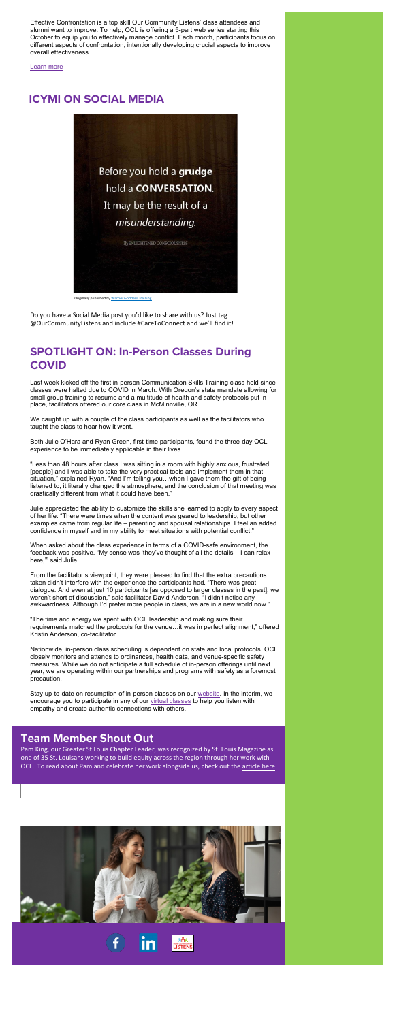Effective Confrontation is a top skill Our Community Listens' class attendees and alumni want to improve. To help, OCL is offering a 5-part web series starting this October to equip you to effectively manage conflict. Each month, participants focus on different aspects of confrontation, intentionally developing crucial aspects to improve overall effectiveness.

#### [Learn more](https://www.ourcommunitylistens.org/events/web-series)

### <span id="page-1-0"></span>**ICYMI ON SOCIAL MEDIA**

Do you have a Social Media post you'd like to share with us? Just tag @OurCommunityListens and include #CareToConnect and we'll find it!

### <span id="page-1-1"></span>**SPOTLIGHT ON: In-Person Classes During COVID**

Last week kicked off the first in-person Communication Skills Training class held since classes were halted due to COVID in March. With Oregon's state mandate allowing for small group training to resume and a multitude of health and safety protocols put in place, facilitators offered our core class in McMinnville, OR.

We caught up with a couple of the class participants as well as the facilitators who taught the class to hear how it went.

Both Julie O'Hara and Ryan Green, first-time participants, found the three-day OCL experience to be immediately applicable in their lives.

"Less than 48 hours after class I was sitting in a room with highly anxious, frustrated [people] and I was able to take the very practical tools and implement them in that situation," explained Ryan. "And I'm telling you…when I gave them the gift of being listened to, it literally changed the atmosphere, and the conclusion of that meeting was drastically different from what it could have been."

Julie appreciated the ability to customize the skills she learned to apply to every aspect of her life: "There were times when the content was geared to leadership, but other examples came from regular life – parenting and spousal relationships. I feel an added confidence in myself and in my ability to meet situations with potential conflict."

When asked about the class experience in terms of a COVID-safe environment, the feedback was positive. "My sense was 'they've thought of all the details – I can relax here,'" said Julie.

From the facilitator's viewpoint, they were pleased to find that the extra precautions

taken didn't interfere with the experience the participants had. "There was great dialogue. And even at just 10 participants [as opposed to larger classes in the past], we weren't short of discussion," said facilitator David Anderson. "I didn't notice any awkwardness. Although I'd prefer more people in class, we are in a new world now."

"The time and energy we spent with OCL leadership and making sure their requirements matched the protocols for the venue…it was in perfect alignment," offered Kristin Anderson, co-facilitator.

Nationwide, in-person class scheduling is dependent on state and local protocols. OCL closely monitors and attends to ordinances, health data, and venue-specific safety measures. While we do not anticipate a full schedule of in-person offerings until next year, we are operating within our partnerships and programs with safety as a foremost precaution.

Stay up-to-date on resumption of in-person classes on our [website.](http://www.ourcommunitylistens.org/) In the interim, we encourage you to participate in any of our [virtual classes](https://www.ourcommunitylistens.org/events) to help you listen with empathy and create authentic connections with others.

### **Team Member Shout Out**

Pam King, our Greater St Louis Chapter Leader, was recognized by St. Louis Magazine as one of 35 St. Louisans working to build equity across the region through her work with OCL. To read about Pam and celebrate her work alongside us, check out th[e article here.](https://www.stlmag.com/longform/35-st-louisans-working-to-build-equity-change-across-the-region/?)









Originally published b[y Warrior Goddess Training](https://www.facebook.com/warriorgoddesstraining/?__xts__%5b0%5d=68.ARBa4V9Wvlr8NCx0M66gytaYCxMk7FZ3dC0e0mThQVkwEetJ1M4b4SHPSAuXT8e3t5xPnDjhYXXsZ3oV-NCFi1ZDgmylyNFpx4rxkDf2xJkKiEf_ybYRM9PQkk5nXPLkepqMq50OIo7Z4TlqdAKBLgtuOPo6b_Mb81cyvz7TXR-Acrx088BSxbWcHog3VsQEaQ4VmZxR-OsGRV3Ib0UiRZItOs-Q_jenTcODcNRZrimv7FrAFFjv3zDkt1Z0d1mvyIyCkXKappo9gBFGIyvVCaF1OD_D8i_KtgvMcCbzRcOuXRu692fXAHv2dTUUw326I5UcDjOQltbgZ3s_M2Vc0XO1vPVMG9ZxpBvv0JYuqp3g0KlwocH8i6gV1hniY8XorcY3eUbUCKg2OUMPEnYe8ml87XQ0QqMJ2ioimX0z124PB6yeHRvaW0AQfGMqH7iAIpyX79i5dFvRtpBsERafUl_tkS0qtHCYHnGd9EYx0-ueNgNd2oYx7jxb&__tn__=k*F&tn-str=k*F)